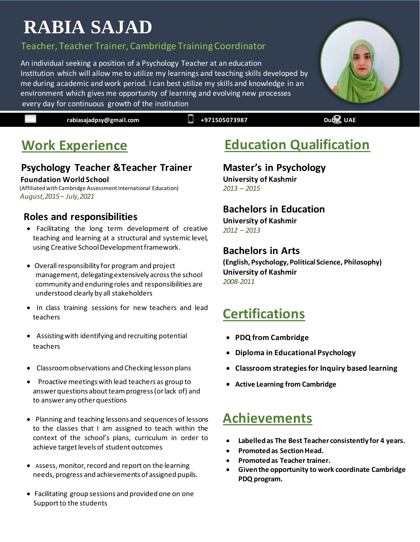# <sup>2</sup> **RABIA SAJAD**

#### 3 Teacher, Teacher Trainer, Cambridge Training Coordinator

4 An individual seeking a position of a Psychology Teacher at an education Institution which will allow me to utilize my learnings and teaching skills developed by 6 me during academic and work period. I can best utilize my skills and knowledge in an 7 environment which gives me opportunity of learning and evolving new processes every day for continuous growth of the institution

**rabiasajadpsy@gmail.com**  $\Box$  **+971505073987 Dubai, UAE** 

# **Work Experience**

### **Psychology Teacher &Teacher Trainer**

#### **Foundation World School**

 (Affiliated with Cambridge Assessment International Education)  *August,2015– July,2021*

#### **Roles and responsibilities**

- Facilitating the long term development of creative teaching and learning at a structural and systemic level, using Creative School Development framework.
- Overall responsibility for program and project management, delegating extensively across the school community and enduring roles and responsibilities are understood clearly by all stakeholders
- In class training sessions for new teachers and lead teachers
- Assisting with identifying and recruiting potential teachers
- Classroom observations and Checking lesson plans
- Proactive meetings with lead teachers as group to answer questions about team progress (or lack of) and to answer any other questions
- Planning and teaching lessons and sequences of lessons to the classes that I am assigned to teach within the context of the school's plans, curriculum in order to achieve target levels of student outcomes
- Assess, monitor, record and report on the learning needs, progress and achievements of assigned pupils.
- Facilitating group sessions and provided one on one Support to the students

# **Education Qualification**

#### **Master's in Psychology**

**University of Kashmir**  *2013 – 2015*

#### **Bachelors in Education**

**University of Kashmir**  *2012 – 2013*

#### **Bachelors in Arts**

**(English, Psychology, Political Science, Philosophy) University of Kashmir**  *2008-2011*

### **Certifications**

- **PDQ from Cambridge**
- **Diploma in Educational Psychology**
- **Classroom strategies for Inquiry based learning**
- **Active Learning from Cambridge**

### **Achievements**

- **Labelled as The Best Teacher consistently for 4 years.**
- **Promoted as Section Head.**
- **Promoted as Teacher trainer.**
- **Given the opportunity to work coordinate Cambridge PDQ program.**